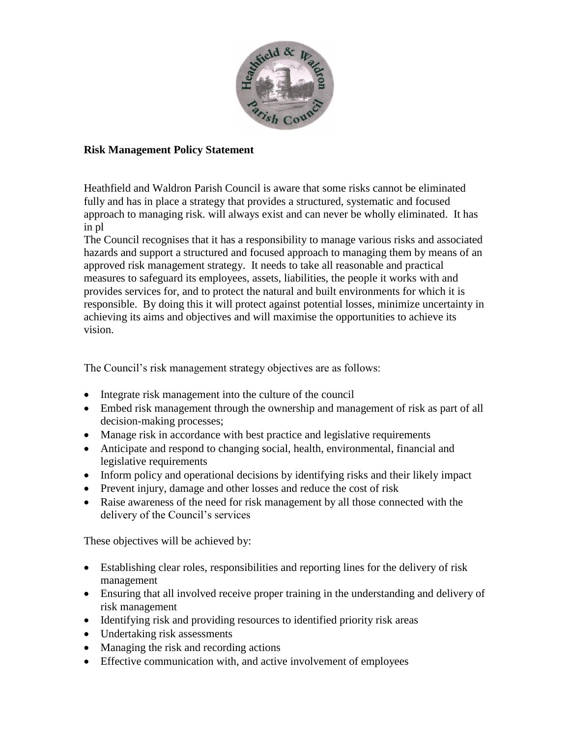

## **Risk Management Policy Statement**

Heathfield and Waldron Parish Council is aware that some risks cannot be eliminated fully and has in place a strategy that provides a structured, systematic and focused approach to managing risk. will always exist and can never be wholly eliminated. It has in pl

The Council recognises that it has a responsibility to manage various risks and associated hazards and support a structured and focused approach to managing them by means of an approved risk management strategy. It needs to take all reasonable and practical measures to safeguard its employees, assets, liabilities, the people it works with and provides services for, and to protect the natural and built environments for which it is responsible. By doing this it will protect against potential losses, minimize uncertainty in achieving its aims and objectives and will maximise the opportunities to achieve its vision.

The Council's risk management strategy objectives are as follows:

- Integrate risk management into the culture of the council
- Embed risk management through the ownership and management of risk as part of all decision-making processes;
- Manage risk in accordance with best practice and legislative requirements
- Anticipate and respond to changing social, health, environmental, financial and legislative requirements
- Inform policy and operational decisions by identifying risks and their likely impact
- Prevent injury, damage and other losses and reduce the cost of risk
- Raise awareness of the need for risk management by all those connected with the delivery of the Council's services

These objectives will be achieved by:

- Establishing clear roles, responsibilities and reporting lines for the delivery of risk management
- Ensuring that all involved receive proper training in the understanding and delivery of risk management
- Identifying risk and providing resources to identified priority risk areas
- Undertaking risk assessments
- Managing the risk and recording actions
- Effective communication with, and active involvement of employees